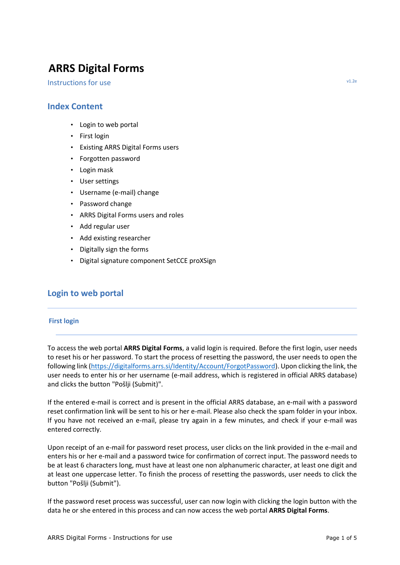# **ARRS Digital Forms**

Instructions for use v1.2e

- Login to web portal
- First login
- Existing ARRS Digital Forms users
- Forgotten password
- Login mask
- User settings
- Username (e-mail) change
- Password change
- ARRS Digital Forms users and roles
- Add regular user
- Add existing researcher
- Digitally sign the forms
- Digital signature component SetCCE proXSign

# **Login to web portal**

### **First login**

To access the web portal **ARRS Digital Forms**, a valid login is required. Before the first login, user needs to reset his or her password. To start the process of resetting the password, the user needs to open the following link [\(https://digitalforms.arrs.si/Identity/Account/ForgotPassword\)](https://digitalforms.arrs.si/Identity/Account/ForgotPassword). Upon clicking the link, the user needs to enter his or her username (e-mail address, which is registered in official ARRS database) and clicks the button "Pošlji (Submit)".

If the entered e-mail is correct and is present in the official ARRS database, an e-mail with a password reset confirmation link will be sent to his or her e-mail. Please also check the spam folder in your inbox. If you have not received an e-mail, please try again in a few minutes, and check if your e-mail was entered correctly.

Upon receipt of an e-mail for password reset process, user clicks on the link provided in the e-mail and enters his or her e-mail and a password twice for confirmation of correct input. The password needs to be at least 6 characters long, must have at least one non alphanumeric character, at least one digit and at least one uppercase letter. To finish the process of resetting the passwords, user needs to click the button "Pošlji (Submit").

If the password reset process was successful, user can now login with clicking the login button with the data he or she entered in this process and can now access the web portal **ARRS Digital Forms**.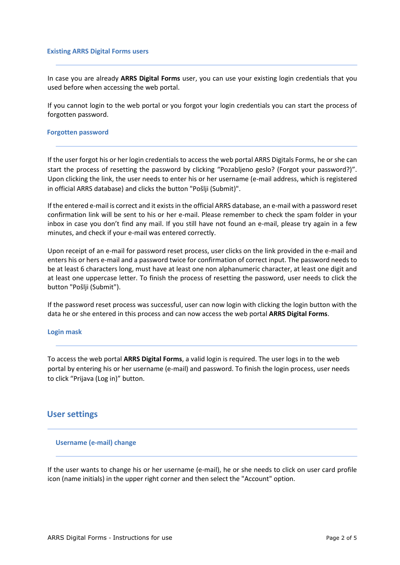#### **Existing ARRS Digital Forms users**

In case you are already **ARRS Digital Forms** user, you can use your existing login credentials that you used before when accessing the web portal.

If you cannot login to the web portal or you forgot your login credentials you can start the process of forgotten password.

#### **Forgotten password**

If the user forgot his or her login credentials to access the web portal ARRS Digitals Forms, he or she can start the process of resetting the password by clicking "Pozabljeno geslo? (Forgot your password?)". Upon clicking the link, the user needs to enter his or her username (e-mail address, which is registered in official ARRS database) and clicks the button "Pošlji (Submit)".

If the entered e-mail is correct and it exists in the official ARRS database, an e-mail with a password reset confirmation link will be sent to his or her e-mail. Please remember to check the spam folder in your inbox in case you don't find any mail. If you still have not found an e-mail, please try again in a few minutes, and check if your e-mail was entered correctly.

Upon receipt of an e-mail for password reset process, user clicks on the link provided in the e-mail and enters his or hers e-mail and a password twice for confirmation of correct input. The password needs to be at least 6 characters long, must have at least one non alphanumeric character, at least one digit and at least one uppercase letter. To finish the process of resetting the password, user needs to click the button "Pošlji (Submit").

If the password reset process was successful, user can now login with clicking the login button with the data he or she entered in this process and can now access the web portal **ARRS Digital Forms**.

#### **Login mask**

To access the web portal **ARRS Digital Forms**, a valid login is required. The user logs in to the web portal by entering his or her username (e-mail) and password. To finish the login process, user needs to click "Prijava (Log in)" button.

# **User settings**

#### **Username (e-mail) change**

If the user wants to change his or her username (e-mail), he or she needs to click on user card profile icon (name initials) in the upper right corner and then select the "Account" option.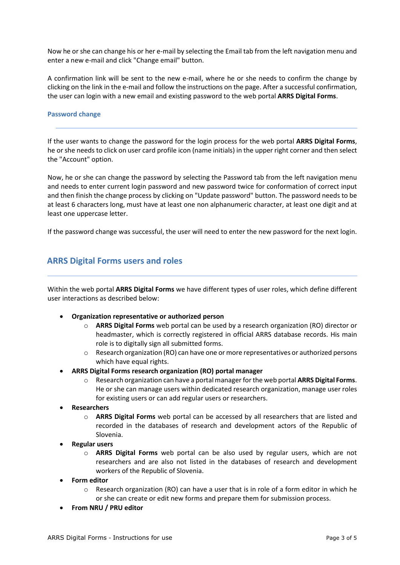Now he or she can change his or her e-mail by selecting the Email tab from the left navigation menu and enter a new e-mail and click "Change email" button.

A confirmation link will be sent to the new e-mail, where he or she needs to confirm the change by clicking on the link in the e-mail and follow the instructions on the page. After a successful confirmation, the user can login with a new email and existing password to the web portal **ARRS Digital Forms**.

### **Password change**

If the user wants to change the password for the login process for the web portal **ARRS Digital Forms**, he or she needs to click on user card profile icon (name initials) in the upper right corner and then select the "Account" option.

Now, he or she can change the password by selecting the Password tab from the left navigation menu and needs to enter current login password and new password twice for conformation of correct input and then finish the change process by clicking on "Update password" button. The password needs to be at least 6 characters long, must have at least one non alphanumeric character, at least one digit and at least one uppercase letter.

If the password change was successful, the user will need to enter the new password for the next login.

# **ARRS Digital Forms users and roles**

Within the web portal **ARRS Digital Forms** we have different types of user roles, which define different user interactions as described below:

- **Organization representative or authorized person**
	- o **ARRS Digital Forms** web portal can be used by a research organization (RO) director or headmaster, which is correctly registered in official ARRS database records. His main role is to digitally sign all submitted forms.
	- o Research organization (RO) can have one or more representatives or authorized persons which have equal rights.
- **ARRS Digital Forms research organization (RO) portal manager**
	- o Research organization can have a portal manager for the web portal **ARRS Digital Forms**. He or she can manage users within dedicated research organization, manage user roles for existing users or can add regular users or researchers.
- **Researchers**
	- o **ARRS Digital Forms** web portal can be accessed by all researchers that are listed and recorded in the databases of research and development actors of the Republic of Slovenia.
- **Regular users**
	- o **ARRS Digital Forms** web portal can be also used by regular users, which are not researchers and are also not listed in the databases of research and development workers of the Republic of Slovenia.
- **Form editor**
	- $\circ$  Research organization (RO) can have a user that is in role of a form editor in which he or she can create or edit new forms and prepare them for submission process.
- **From NRU / PRU editor**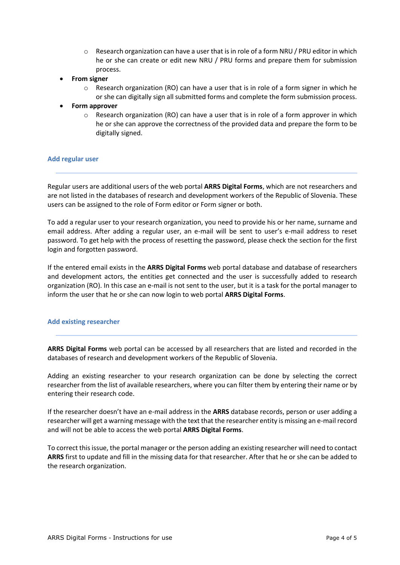- $\circ$  Research organization can have a user that is in role of a form NRU / PRU editor in which he or she can create or edit new NRU / PRU forms and prepare them for submission process.
- **From signer**
	- $\circ$  Research organization (RO) can have a user that is in role of a form signer in which he or she can digitally sign all submitted forms and complete the form submission process.
- **Form approver**
	- $\circ$  Research organization (RO) can have a user that is in role of a form approver in which he or she can approve the correctness of the provided data and prepare the form to be digitally signed.

### **Add regular user**

Regular users are additional users of the web portal **ARRS Digital Forms**, which are not researchers and are not listed in the databases of research and development workers of the Republic of Slovenia. These users can be assigned to the role of Form editor or Form signer or both.

To add a regular user to your research organization, you need to provide his or her name, surname and email address. After adding a regular user, an e-mail will be sent to user's e-mail address to reset password. To get help with the process of resetting the password, please check the section for the first login and forgotten password.

If the entered email exists in the **ARRS Digital Forms** web portal database and database of researchers and development actors, the entities get connected and the user is successfully added to research organization (RO). In this case an e-mail is not sent to the user, but it is a task for the portal manager to inform the user that he or she can now login to web portal **ARRS Digital Forms**.

### **Add existing researcher**

**ARRS Digital Forms** web portal can be accessed by all researchers that are listed and recorded in the databases of research and development workers of the Republic of Slovenia.

Adding an existing researcher to your research organization can be done by selecting the correct researcher from the list of available researchers, where you can filter them by entering their name or by entering their research code.

If the researcher doesn't have an e-mail address in the **ARRS** database records, person or user adding a researcher will get a warning message with the text that the researcher entity is missing an e-mail record and will not be able to access the web portal **ARRS Digital Forms**.

To correct this issue, the portal manager or the person adding an existing researcher will need to contact **ARRS** first to update and fill in the missing data for that researcher. After that he or she can be added to the research organization.